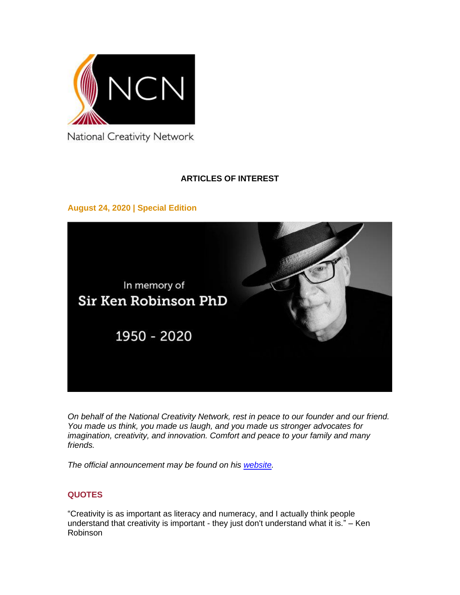

National Creativity Network

# **ARTICLES OF INTEREST**

**August 24, 2020 | Special Edition**



*On behalf of the National Creativity Network, rest in peace to our founder and our friend. You made us think, you made us laugh, and you made us stronger advocates for imagination, creativity, and innovation. Comfort and peace to your family and many friends.*

*The official announcement may be found on his [website.](http://sirkenrobinson.com/)*

## **QUOTES**

"Creativity is as important as literacy and numeracy, and I actually think people understand that creativity is important - they just don't understand what it is." – Ken Robinson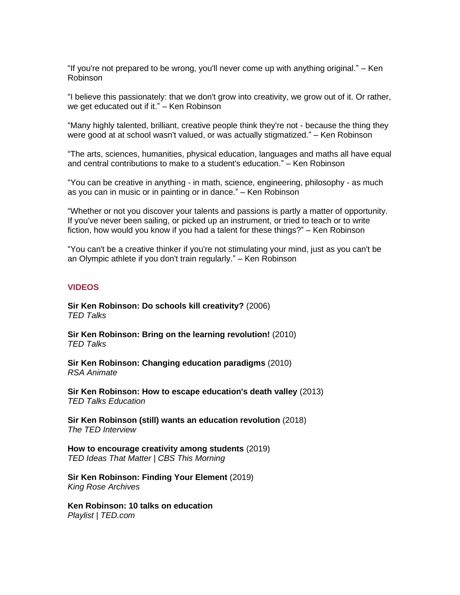"If you're not prepared to be wrong, you'll never come up with anything original." – Ken Robinson

"I believe this passionately: that we don't grow into creativity, we grow out of it. Or rather, we get educated out if it." – Ken Robinson

"Many highly talented, brilliant, creative people think they're not - because the thing they were good at at school wasn't valued, or was actually stigmatized." – Ken Robinson

"The arts, sciences, humanities, physical education, languages and maths all have equal and central contributions to make to a student's education." – Ken Robinson

"You can be creative in anything - in math, science, engineering, philosophy - as much as you can in music or in painting or in dance." – Ken Robinson

"Whether or not you discover your talents and passions is partly a matter of opportunity. If you've never been sailing, or picked up an instrument, or tried to teach or to write fiction, how would you know if you had a talent for these things?" – Ken Robinson

"You can't be a creative thinker if you're not stimulating your mind, just as you can't be an Olympic athlete if you don't train regularly." – Ken Robinson

#### **VIDEOS**

**[Sir Ken Robinson: Do schools kill creativity?](https://www.ted.com/talks/sir_ken_robinson_do_schools_kill_creativity)** (2006) *TED Talks*

**[Sir Ken Robinson: Bring on the learning revolution!](https://www.ted.com/talks/sir_ken_robinson_bring_on_the_learning_revolution)** (2010) *TED Talks*

**[Sir Ken Robinson: Changing education](https://www.youtube.com/watch?v=zDZFcDGpL4U) paradigms** (2010) *RSA Animate* 

**[Sir Ken Robinson: How to escape education's death valley](https://www.ted.com/talks/sir_ken_robinson_how_to_escape_education_s_death_valley)** (2013) *TED Talks Education*

**[Sir Ken Robinson \(still\) wants an education revolution](https://www.ted.com/talks/the_ted_interview_sir_ken_robinson_still_wants_an_education_revolution)** (2018) *The TED Interview*

**[How to encourage creativity among students](https://www.cbs.com/shows/cbs_this_morning/video/GzDd29fAnn_InTWQ6ugty_BS9__g5s3v/sir-ken-robinson-on-how-to-encourage-creativity-among-students/)** (2019) *TED Ideas That Matter | CBS This Morning*

**[Sir Ken Robinson: Finding Your Element](https://www.youtube.com/watch?v=17fbxRQgMlU)** (2019) *King Rose Archives*

**[Ken Robinson: 10 talks on education](http://www.ted.com/playlists/ken_robinson_10_talks_on_educ)** *Playlist | TED.com*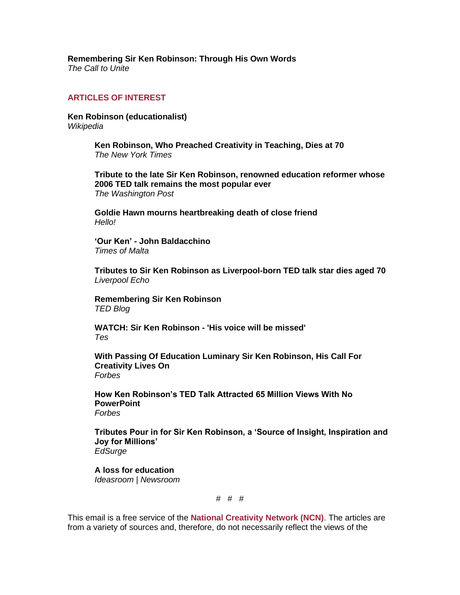**[Remembering Sir Ken Robinson: Through His Own Words](https://www.youtube.com/watch?v=Sagkh0It6Pk)** *The Call to Unite*

### **ARTICLES OF INTEREST**

**[Ken Robinson \(educationalist\)](https://en.wikipedia.org/wiki/Ken_Robinson_(educationalist))** *Wikipedia*

> **[Ken Robinson, Who Preached Creativity in Teaching, Dies at 70](https://www.nytimes.com/2020/09/11/world/europe/ken-robinson-who-preached-creativity-in-teaching-dies-at-70.html)** *The New York Times*

**[Tribute to the late Sir Ken Robinson, renowned education reformer whose](https://www.washingtonpost.com/education/2020/08/25/tribute-late-sir-ken-robinson-renowned-education-reformer-whose-2006-ted-talk-remains-most-popular-ever/)  2006 TED talk [remains the most popular ever](https://www.washingtonpost.com/education/2020/08/25/tribute-late-sir-ken-robinson-renowned-education-reformer-whose-2006-ted-talk-remains-most-popular-ever/)** *The Washington Post*

**[Goldie Hawn mourns heartbreaking death of close friend](https://www.hellomagazine.com/celebrities/2020082595998/goldie-hawn-heartbreaking-tribute-death-close-friend/)** *Hello!*

**'Our Ken' - [John Baldacchino](https://timesofmalta-com.cdn.ampproject.org/c/s/timesofmalta.com/articles/view/our-ken-john-baldacchino.814344.amp)** *Times of Malta*

**[Tributes to Sir Ken Robinson as Liverpool-born TED talk star dies aged 70](https://www.liverpoolecho.co.uk/news/liverpool-news/tributes-ken-robinson-liverpool-born-18814459)** *Liverpool Echo*

**[Remembering Sir Ken Robinson](https://blog.ted.com/remembering-sir-ken-robinson/)** *TED Blog*

**[WATCH: Sir Ken Robinson -](https://www.tes.com/news/watch-sir-ken-robinson-his-voice-will-be-missed) 'His voice will be missed'** *Tes*

**[With Passing Of Education Luminary Sir Ken Robinson, His Call For](https://www.forbes.com/sites/brandonbusteed/2020/08/23/with-passing-of-education-luminary-sir-ken-robinson-his-call-for-creativity-lives-on/#76ee596a5253)  [Creativity Lives On](https://www.forbes.com/sites/brandonbusteed/2020/08/23/with-passing-of-education-luminary-sir-ken-robinson-his-call-for-creativity-lives-on/#76ee596a5253)** *Forbes*

**[How Ken Robinson's TED Talk Attracted 65 Million Views With No](https://www.forbes.com/sites/carminegallo/2020/08/23/how-ken-robinsons-ted-talk-attracted-65-million-views-with-no-powerpoint/#653f81b14b57)  [PowerPoint](https://www.forbes.com/sites/carminegallo/2020/08/23/how-ken-robinsons-ted-talk-attracted-65-million-views-with-no-powerpoint/#653f81b14b57)** *Forbes*

**[Tributes Pour in for Sir Ken Robinson, a 'Source of Insight, Inspiration and](https://www.edsurge.com/news/2020-08-23-tributes-pour-in-for-sir-ken-robinson-a-source-of-insight-inspiration-and-joy-for-millions)  [Joy for Millions'](https://www.edsurge.com/news/2020-08-23-tributes-pour-in-for-sir-ken-robinson-a-source-of-insight-inspiration-and-joy-for-millions)** *EdSurge*

**[A loss for education](https://www.newsroom.co.nz/ideasroom/a-loss-for-education)** *Ideasroom | Newsroom*

#### # # #

This email is a free service of the **National Creativity Network (NCN)**. The articles are from a variety of sources and, therefore, do not necessarily reflect the views of the